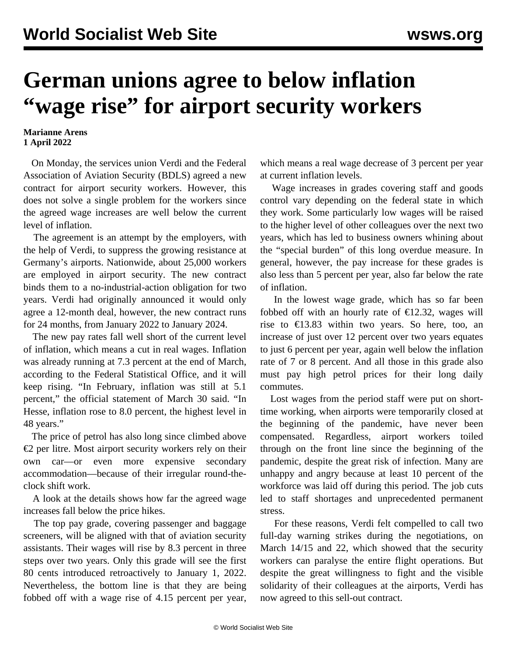## **German unions agree to below inflation "wage rise" for airport security workers**

## **Marianne Arens 1 April 2022**

 On Monday, the services union Verdi and the Federal Association of Aviation Security (BDLS) agreed a new contract for airport security workers. However, this does not solve a single problem for the workers since the agreed wage increases are well below the current level of inflation.

 The agreement is an attempt by the employers, with the help of Verdi, to suppress the growing resistance at Germany's airports. Nationwide, about 25,000 workers are employed in airport security. The new contract binds them to a no-industrial-action obligation for two years. Verdi had originally announced it would only agree a 12-month deal, however, the new contract runs for 24 months, from January 2022 to January 2024.

 The new pay rates fall well short of the current level of inflation, which means a cut in real wages. Inflation was already running at 7.3 percent at the end of March, according to the Federal Statistical Office, and it will keep rising. "In February, inflation was still at 5.1 percent," the official statement of March 30 said. "In Hesse, inflation rose to 8.0 percent, the highest level in 48 years."

 The price of petrol has also long since climbed above €2 per litre. Most airport security workers rely on their own car—or even more expensive secondary accommodation—because of their irregular round-theclock shift work.

 A look at the details shows how far the agreed wage increases fall below the price hikes.

 The top pay grade, covering passenger and baggage screeners, will be aligned with that of aviation security assistants. Their wages will rise by 8.3 percent in three steps over two years. Only this grade will see the first 80 cents introduced retroactively to January 1, 2022. Nevertheless, the bottom line is that they are being fobbed off with a wage rise of 4.15 percent per year, which means a real wage decrease of 3 percent per year at current inflation levels.

 Wage increases in grades covering staff and goods control vary depending on the federal state in which they work. Some particularly low wages will be raised to the higher level of other colleagues over the next two years, which has led to business owners whining about the "special burden" of this long overdue measure. In general, however, the pay increase for these grades is also less than 5 percent per year, also far below the rate of inflation.

 In the lowest wage grade, which has so far been fobbed off with an hourly rate of  $\epsilon$ 12.32, wages will rise to  $\epsilon$ 13.83 within two years. So here, too, an increase of just over 12 percent over two years equates to just 6 percent per year, again well below the inflation rate of 7 or 8 percent. And all those in this grade also must pay high petrol prices for their long daily commutes.

 Lost wages from the period staff were put on shorttime working, when airports were temporarily closed at the beginning of the pandemic, have never been compensated. Regardless, airport workers toiled through on the front line since the beginning of the pandemic, despite the great risk of infection. Many are unhappy and angry because at least 10 percent of the workforce was laid off during this period. The job cuts led to staff shortages and unprecedented permanent stress.

 For these reasons, Verdi felt compelled to call two full-day warning strikes during the negotiations, on March 14/15 and 22, which showed that the security workers can [paralyse](/en/articles/2022/03/24/airp-m24.html) the entire flight operations. But despite the great willingness to fight and the visible solidarity of their colleagues at the airports, Verdi has now agreed to this sell-out contract.